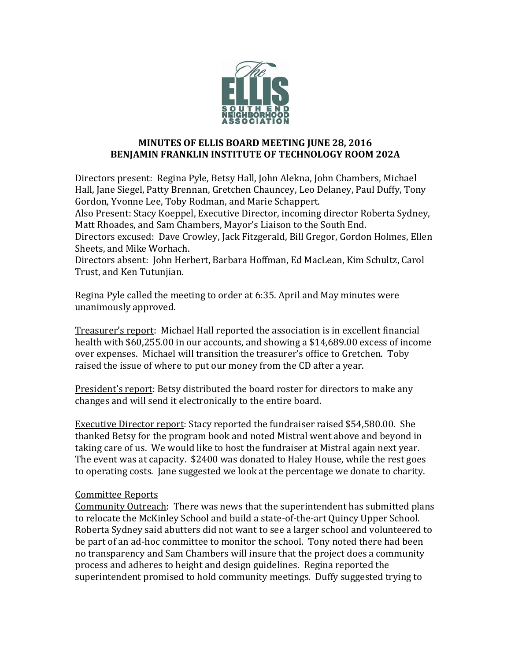

## **MINUTES OF ELLIS BOARD MEETING JUNE 28, 2016 BENJAMIN FRANKLIN INSTITUTE OF TECHNOLOGY ROOM 202A**

Directors present: Regina Pyle, Betsy Hall, John Alekna, John Chambers, Michael Hall, Jane Siegel, Patty Brennan, Gretchen Chauncey, Leo Delaney, Paul Duffy, Tony Gordon, Yvonne Lee, Toby Rodman, and Marie Schappert.

Also Present: Stacy Koeppel, Executive Director, incoming director Roberta Sydney, Matt Rhoades, and Sam Chambers, Mayor's Liaison to the South End.

Directors excused: Dave Crowley, Jack Fitzgerald, Bill Gregor, Gordon Holmes, Ellen Sheets, and Mike Worhach.

Directors absent: John Herbert, Barbara Hoffman, Ed MacLean, Kim Schultz, Carol Trust, and Ken Tutunjian.

Regina Pyle called the meeting to order at 6:35. April and May minutes were unanimously approved.

Treasurer's report: Michael Hall reported the association is in excellent financial health with \$60,255.00 in our accounts, and showing a \$14,689.00 excess of income over expenses. Michael will transition the treasurer's office to Gretchen. Toby raised the issue of where to put our money from the CD after a year.

President's report: Betsy distributed the board roster for directors to make any changes and will send it electronically to the entire board.

Executive Director report: Stacy reported the fundraiser raised \$54,580.00. She thanked Betsy for the program book and noted Mistral went above and beyond in taking care of us. We would like to host the fundraiser at Mistral again next year. The event was at capacity. \$2400 was donated to Haley House, while the rest goes to operating costs. Jane suggested we look at the percentage we donate to charity.

## Committee Reports

Community Outreach: There was news that the superintendent has submitted plans to relocate the McKinley School and build a state-of-the-art Quincy Upper School. Roberta Sydney said abutters did not want to see a larger school and volunteered to be part of an ad-hoc committee to monitor the school. Tony noted there had been no transparency and Sam Chambers will insure that the project does a community process and adheres to height and design guidelines. Regina reported the superintendent promised to hold community meetings. Duffy suggested trying to